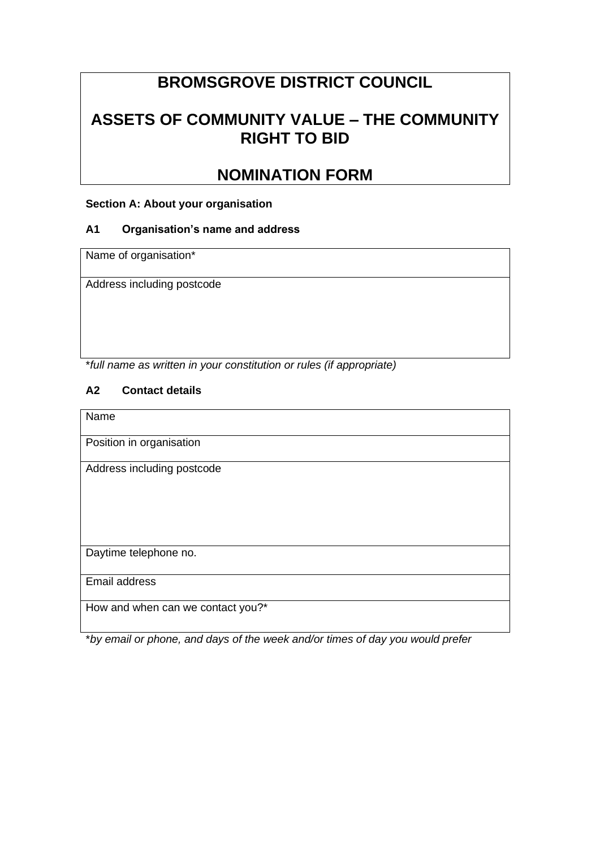# **BROMSGROVE DISTRICT COUNCIL**

## **ASSETS OF COMMUNITY VALUE – THE COMMUNITY RIGHT TO BID**

## **NOMINATION FORM**

## **Section A: About your organisation**

## **A1 Organisation's name and address**

Name of organisation\*

Address including postcode

\**full name as written in your constitution or rules (if appropriate)*

## **A2 Contact details**

Name

Position in organisation

Address including postcode

Daytime telephone no.

Email address

How and when can we contact you?\*

\**by email or phone, and days of the week and/or times of day you would prefer*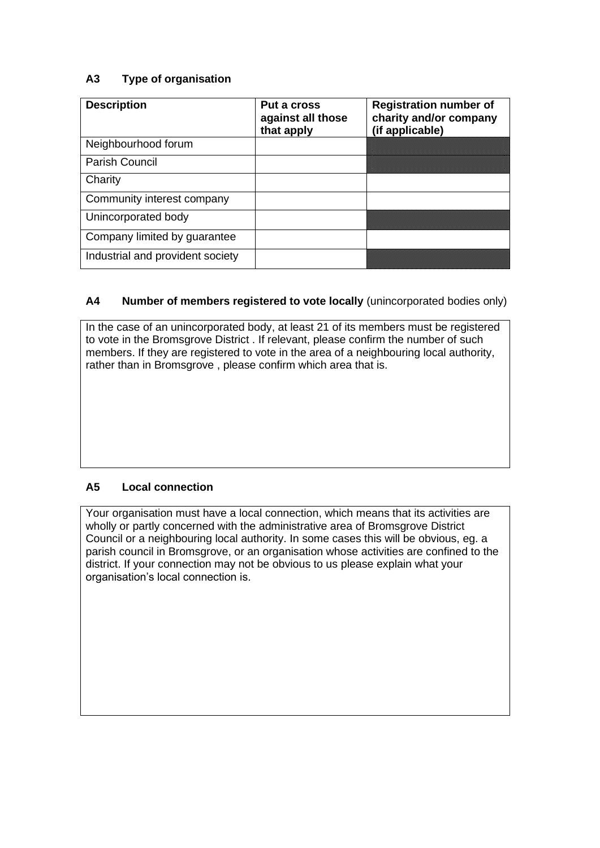## **A3 Type of organisation**

| <b>Description</b>               | Put a cross<br>against all those<br>that apply | <b>Registration number of</b><br>charity and/or company<br>(if applicable) |
|----------------------------------|------------------------------------------------|----------------------------------------------------------------------------|
| Neighbourhood forum              |                                                |                                                                            |
| Parish Council                   |                                                |                                                                            |
| Charity                          |                                                |                                                                            |
| Community interest company       |                                                |                                                                            |
| Unincorporated body              |                                                |                                                                            |
| Company limited by guarantee     |                                                |                                                                            |
| Industrial and provident society |                                                |                                                                            |

## **A4 Number of members registered to vote locally** (unincorporated bodies only)

In the case of an unincorporated body, at least 21 of its members must be registered to vote in the Bromsgrove District . If relevant, please confirm the number of such members. If they are registered to vote in the area of a neighbouring local authority, rather than in Bromsgrove , please confirm which area that is.

## **A5 Local connection**

Your organisation must have a local connection, which means that its activities are wholly or partly concerned with the administrative area of Bromsgrove District Council or a neighbouring local authority. In some cases this will be obvious, eg. a parish council in Bromsgrove, or an organisation whose activities are confined to the district. If your connection may not be obvious to us please explain what your organisation's local connection is.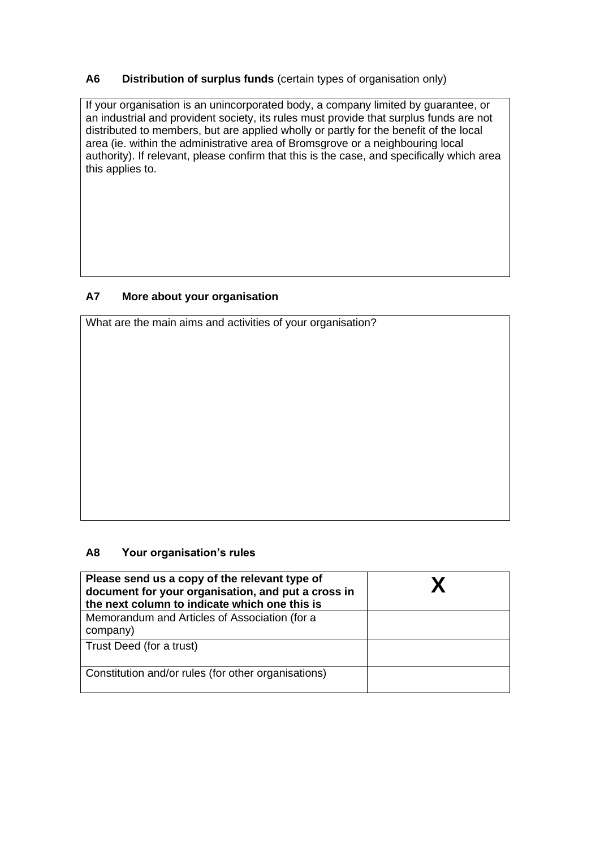## **A6 Distribution of surplus funds** (certain types of organisation only)

If your organisation is an unincorporated body, a company limited by guarantee, or an industrial and provident society, its rules must provide that surplus funds are not distributed to members, but are applied wholly or partly for the benefit of the local area (ie. within the administrative area of Bromsgrove or a neighbouring local authority). If relevant, please confirm that this is the case, and specifically which area this applies to.

## **A7 More about your organisation**

What are the main aims and activities of your organisation?

#### **A8 Your organisation's rules**

| Please send us a copy of the relevant type of<br>document for your organisation, and put a cross in<br>the next column to indicate which one this is |  |
|------------------------------------------------------------------------------------------------------------------------------------------------------|--|
| Memorandum and Articles of Association (for a<br>company)                                                                                            |  |
| Trust Deed (for a trust)                                                                                                                             |  |
| Constitution and/or rules (for other organisations)                                                                                                  |  |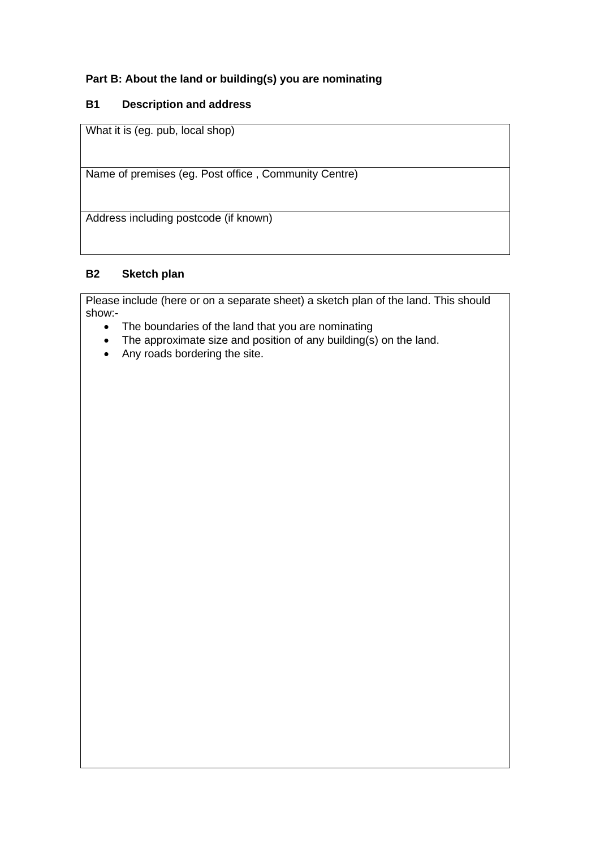## **Part B: About the land or building(s) you are nominating**

## **B1 Description and address**

What it is (eg. pub, local shop)

Name of premises (eg. Post office , Community Centre)

Address including postcode (if known)

## **B2 Sketch plan**

Please include (here or on a separate sheet) a sketch plan of the land. This should show:-

- The boundaries of the land that you are nominating
- The approximate size and position of any building $(s)$  on the land.
- Any roads bordering the site.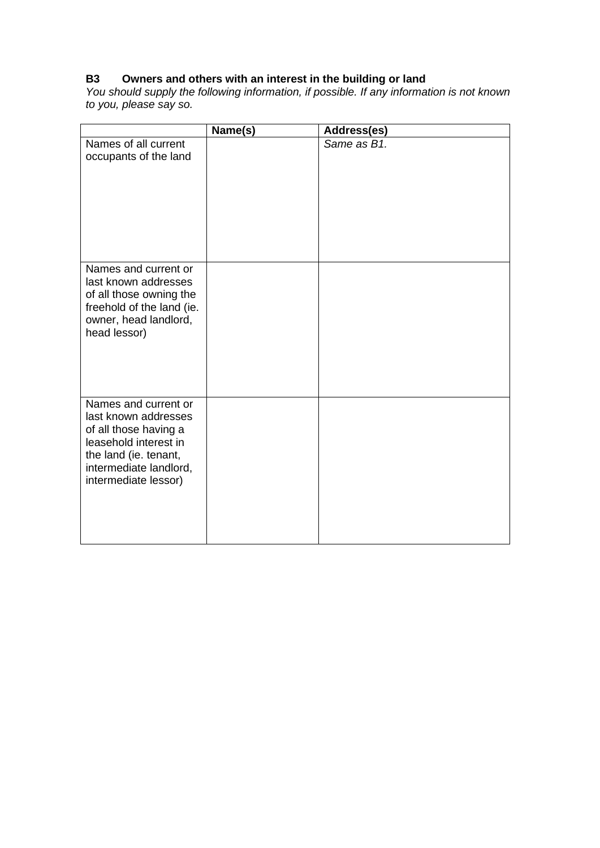## **B3 Owners and others with an interest in the building or land**

*You should supply the following information, if possible. If any information is not known to you, please say so.*

|                                                                                                                                                                           | Name(s) | Address(es) |
|---------------------------------------------------------------------------------------------------------------------------------------------------------------------------|---------|-------------|
| Names of all current<br>occupants of the land                                                                                                                             |         | Same as B1. |
| Names and current or<br>last known addresses<br>of all those owning the<br>freehold of the land (ie.<br>owner, head landlord,<br>head lessor)                             |         |             |
| Names and current or<br>last known addresses<br>of all those having a<br>leasehold interest in<br>the land (ie. tenant,<br>intermediate landlord,<br>intermediate lessor) |         |             |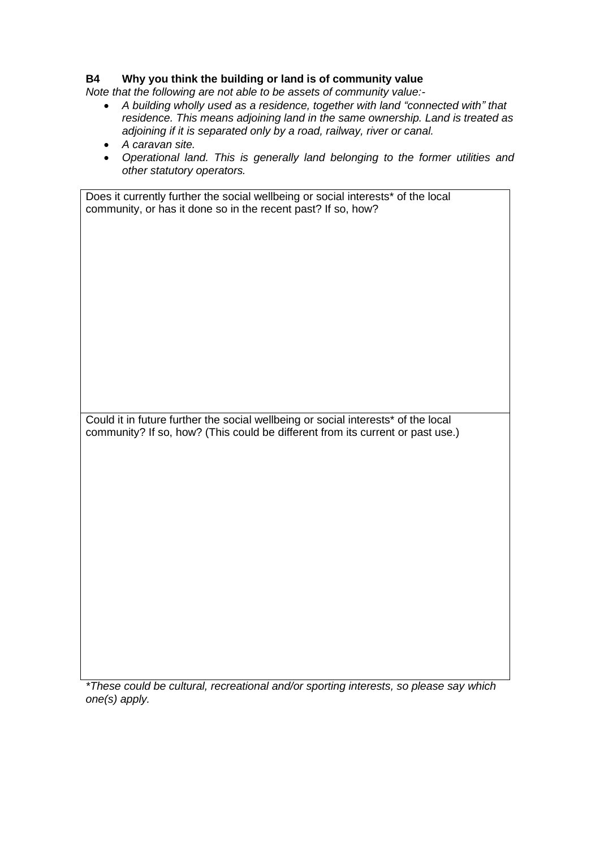#### **B4 Why you think the building or land is of community value**

*Note that the following are not able to be assets of community value:-*

- *A building wholly used as a residence, together with land "connected with" that residence. This means adjoining land in the same ownership. Land is treated as adjoining if it is separated only by a road, railway, river or canal.*
- *A caravan site.*
- *Operational land. This is generally land belonging to the former utilities and other statutory operators.*

Does it currently further the social wellbeing or social interests\* of the local community, or has it done so in the recent past? If so, how?

Could it in future further the social wellbeing or social interests\* of the local community? If so, how? (This could be different from its current or past use.)

*\*These could be cultural, recreational and/or sporting interests, so please say which one(s) apply.*